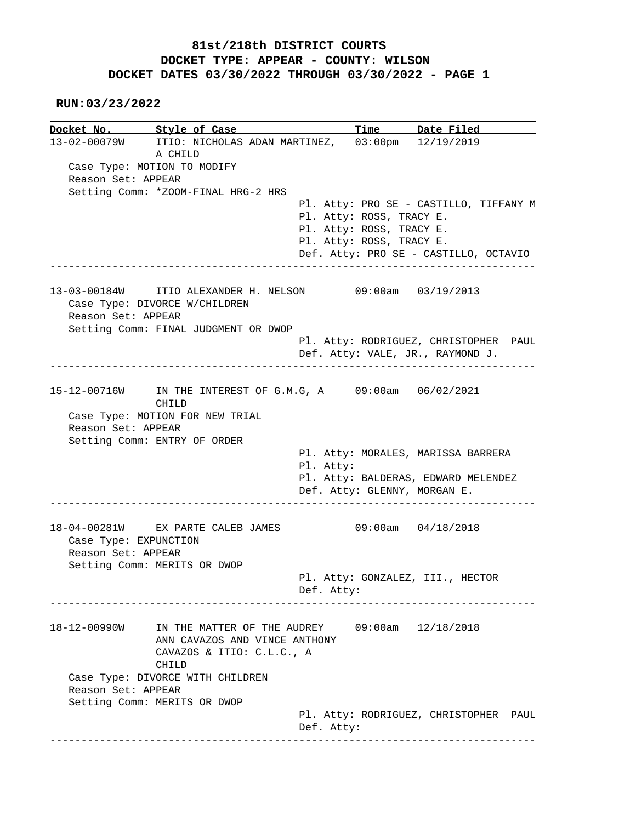**RUN:03/23/2022**

|                       | Docket No. Style of Case             | Time Date Filed                                               |  |
|-----------------------|--------------------------------------|---------------------------------------------------------------|--|
|                       |                                      | 13-02-00079W ITIO: NICHOLAS ADAN MARTINEZ, 03:00pm 12/19/2019 |  |
|                       | A CHILD                              |                                                               |  |
|                       | Case Type: MOTION TO MODIFY          |                                                               |  |
| Reason Set: APPEAR    |                                      |                                                               |  |
|                       | Setting Comm: *ZOOM-FINAL HRG-2 HRS  | Pl. Atty: PRO SE - CASTILLO, TIFFANY M                        |  |
|                       |                                      | Pl. Atty: ROSS, TRACY E.                                      |  |
|                       |                                      | Pl. Atty: ROSS, TRACY E.                                      |  |
|                       |                                      | Pl. Atty: ROSS, TRACY E.                                      |  |
|                       |                                      | Def. Atty: PRO SE - CASTILLO, OCTAVIO                         |  |
|                       |                                      | --------------                                                |  |
|                       |                                      | 13-03-00184W ITIO ALEXANDER H. NELSON 09:00am 03/19/2013      |  |
|                       | Case Type: DIVORCE W/CHILDREN        |                                                               |  |
| Reason Set: APPEAR    |                                      |                                                               |  |
|                       | Setting Comm: FINAL JUDGMENT OR DWOP |                                                               |  |
|                       |                                      | Pl. Atty: RODRIGUEZ, CHRISTOPHER PAUL                         |  |
|                       |                                      | Def. Atty: VALE, JR., RAYMOND J.                              |  |
|                       |                                      |                                                               |  |
|                       | CHILD                                | 15-12-00716W IN THE INTEREST OF G.M.G, A 09:00am 06/02/2021   |  |
|                       | Case Type: MOTION FOR NEW TRIAL      |                                                               |  |
| Reason Set: APPEAR    |                                      |                                                               |  |
|                       | Setting Comm: ENTRY OF ORDER         |                                                               |  |
|                       |                                      |                                                               |  |
|                       |                                      | Pl. Atty: MORALES, MARISSA BARRERA                            |  |
|                       |                                      | Pl. Atty:                                                     |  |
|                       |                                      | Pl. Atty: BALDERAS, EDWARD MELENDEZ                           |  |
|                       |                                      | Def. Atty: GLENNY, MORGAN E.                                  |  |
|                       |                                      |                                                               |  |
| Case Type: EXPUNCTION | 18-04-00281W EX PARTE CALEB JAMES    | $09:00am$ $04/18/2018$                                        |  |
| Reason Set: APPEAR    |                                      |                                                               |  |
|                       | Setting Comm: MERITS OR DWOP         |                                                               |  |
|                       |                                      | Pl. Atty: GONZALEZ, III., HECTOR                              |  |
|                       |                                      | Def. Atty:                                                    |  |
|                       |                                      |                                                               |  |
| 18-12-00990W          | IN THE MATTER OF THE AUDREY          | $09:00$ am $12/18/2018$                                       |  |
|                       | ANN CAVAZOS AND VINCE ANTHONY        |                                                               |  |
|                       | CAVAZOS & ITIO: C.L.C., A<br>CHILD   |                                                               |  |
|                       | Case Type: DIVORCE WITH CHILDREN     |                                                               |  |
| Reason Set: APPEAR    |                                      |                                                               |  |
|                       | Setting Comm: MERITS OR DWOP         | Pl. Atty: RODRIGUEZ, CHRISTOPHER PAUL                         |  |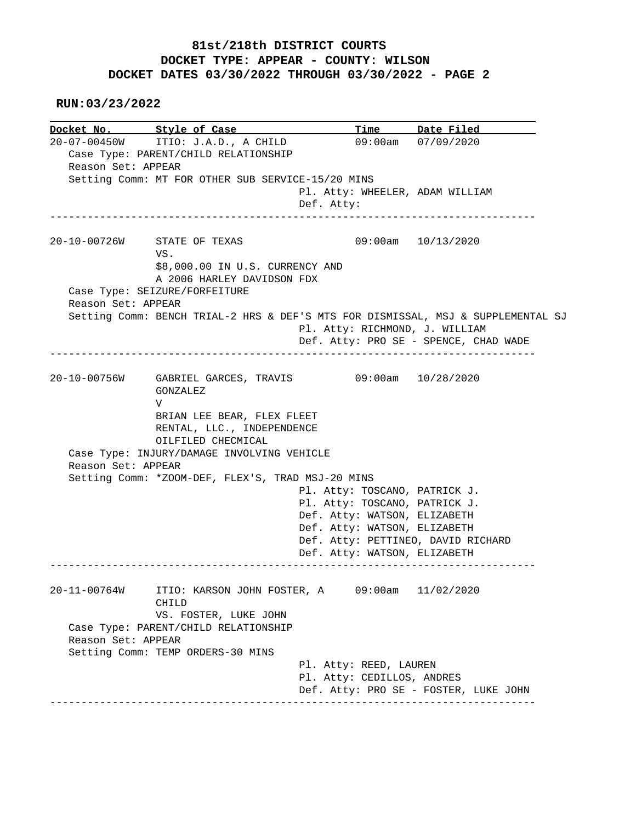**RUN:03/23/2022**

**Docket No. Style of Case**<br>20-07-00450W ITIO: J.A.D., A CHILI Exple of Case Time Date Filed<br>ITIO: J.A.D., A CHILD 09:00am 07/09/2020 Case Type: PARENT/CHILD RELATIONSHIP Reason Set: APPEAR Setting Comm: MT FOR OTHER SUB SERVICE-15/20 MINS Pl. Atty: WHEELER, ADAM WILLIAM Def. Atty: ------------------------------------------------------------------------------ 20-10-00726W STATE OF TEXAS 09:00am 10/13/2020 VS. \$8,000.00 IN U.S. CURRENCY AND A 2006 HARLEY DAVIDSON FDX Case Type: SEIZURE/FORFEITURE Reason Set: APPEAR Setting Comm: BENCH TRIAL-2 HRS & DEF'S MTS FOR DISMISSAL, MSJ & SUPPLEMENTAL SJ Pl. Atty: RICHMOND, J. WILLIAM Def. Atty: PRO SE - SPENCE, CHAD WADE ------------------------------------------------------------------------------ 20-10-00756W GABRIEL GARCES, TRAVIS 09:00am 10/28/2020 GONZALEZ V BRIAN LEE BEAR, FLEX FLEET RENTAL, LLC., INDEPENDENCE OILFILED CHECMICAL Case Type: INJURY/DAMAGE INVOLVING VEHICLE Reason Set: APPEAR Setting Comm: \*ZOOM-DEF, FLEX'S, TRAD MSJ-20 MINS Pl. Atty: TOSCANO, PATRICK J. Pl. Atty: TOSCANO, PATRICK J. Def. Atty: WATSON, ELIZABETH Def. Atty: WATSON, ELIZABETH Def. Atty: PETTINEO, DAVID RICHARD Def. Atty: WATSON, ELIZABETH ------------------------------------------------------------------------------ 20-11-00764W ITIO: KARSON JOHN FOSTER, A 09:00am 11/02/2020 CHILD VS. FOSTER, LUKE JOHN Case Type: PARENT/CHILD RELATIONSHIP Reason Set: APPEAR Setting Comm: TEMP ORDERS-30 MINS Pl. Atty: REED, LAUREN Pl. Atty: CEDILLOS, ANDRES Def. Atty: PRO SE - FOSTER, LUKE JOHN ------------------------------------------------------------------------------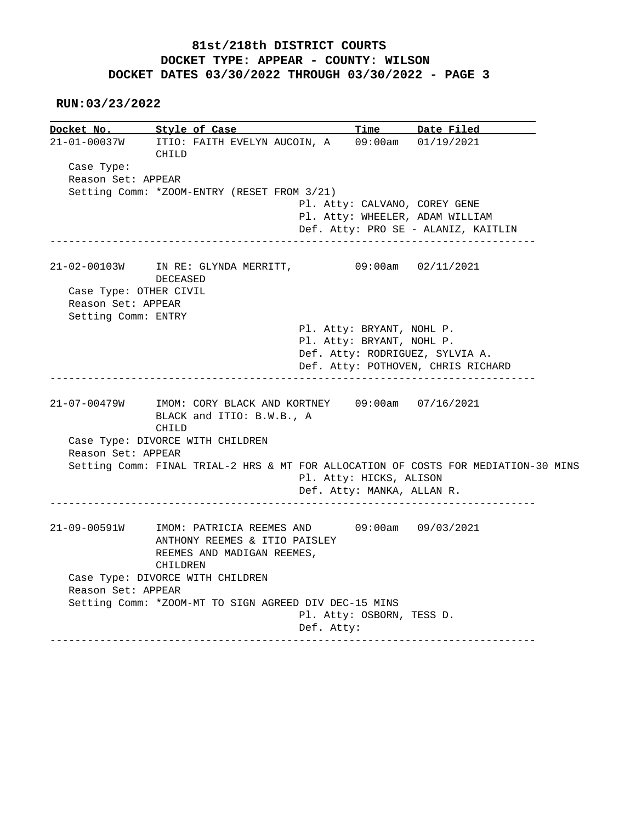#### **RUN:03/23/2022**

| Docket No.             | <u>Style of Case</u>                                                                                                    |                                 | Time Date Filed                     |
|------------------------|-------------------------------------------------------------------------------------------------------------------------|---------------------------------|-------------------------------------|
| 21-01-00037W           | ITIO: FAITH EVELYN AUCOIN, A 09:00am 01/19/2021<br>CHILD                                                                |                                 |                                     |
| Case Type:             |                                                                                                                         |                                 |                                     |
| Reason Set: APPEAR     |                                                                                                                         |                                 |                                     |
|                        | Setting Comm: *ZOOM-ENTRY (RESET FROM 3/21)                                                                             |                                 |                                     |
|                        |                                                                                                                         | Pl. Atty: CALVANO, COREY GENE   |                                     |
|                        |                                                                                                                         | Pl. Atty: WHEELER, ADAM WILLIAM |                                     |
|                        |                                                                                                                         |                                 | Def. Atty: PRO SE - ALANIZ, KAITLIN |
|                        | 21-02-00103W IN RE: GLYNDA MERRITT, 09:00am 02/11/2021<br>DECEASED                                                      |                                 |                                     |
| Case Type: OTHER CIVIL |                                                                                                                         |                                 |                                     |
| Reason Set: APPEAR     |                                                                                                                         |                                 |                                     |
| Setting Comm: ENTRY    |                                                                                                                         |                                 |                                     |
|                        |                                                                                                                         | Pl. Atty: BRYANT, NOHL P.       |                                     |
|                        |                                                                                                                         | Pl. Atty: BRYANT, NOHL P.       |                                     |
|                        |                                                                                                                         | Def. Atty: RODRIGUEZ, SYLVIA A. |                                     |
|                        |                                                                                                                         |                                 |                                     |
|                        |                                                                                                                         |                                 | Def. Atty: POTHOVEN, CHRIS RICHARD  |
|                        | 21-07-00479W IMOM: CORY BLACK AND KORTNEY 09:00am 07/16/2021<br>BLACK and ITIO: B.W.B., A                               |                                 |                                     |
| Reason Set: APPEAR     | CHILD<br>Case Type: DIVORCE WITH CHILDREN                                                                               |                                 |                                     |
|                        | Setting Comm: FINAL TRIAL-2 HRS & MT FOR ALLOCATION OF COSTS FOR MEDIATION-30 MINS                                      |                                 |                                     |
|                        |                                                                                                                         | Pl. Atty: HICKS, ALISON         |                                     |
|                        |                                                                                                                         | Def. Atty: MANKA, ALLAN R.      |                                     |
| 21-09-00591W           | IMOM: PATRICIA REEMES AND 09:00am 09/03/2021<br>ANTHONY REEMES & ITIO PAISLEY<br>REEMES AND MADIGAN REEMES,<br>CHILDREN |                                 |                                     |
|                        |                                                                                                                         |                                 |                                     |
| Reason Set: APPEAR     | Case Type: DIVORCE WITH CHILDREN                                                                                        |                                 |                                     |
|                        | Setting Comm: *ZOOM-MT TO SIGN AGREED DIV DEC-15 MINS                                                                   |                                 |                                     |
|                        |                                                                                                                         | Pl. Atty: OSBORN, TESS D.       |                                     |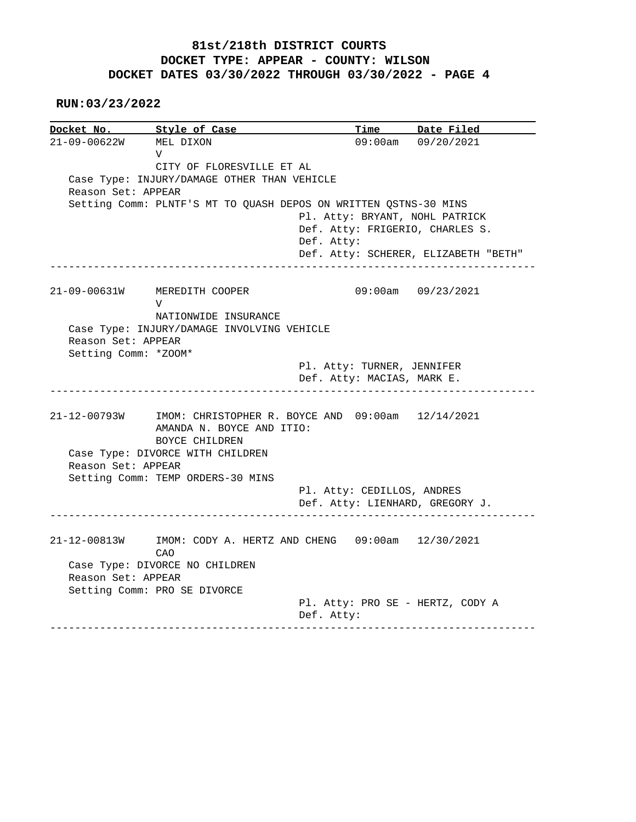**RUN:03/23/2022**

**Docket No. Style of Case Time Date Filed**<br>21-09-00622W MEL DIXON 09:00am 09/20/2021 MEL DIXON 09:00am 09/20/2021 V CITY OF FLORESVILLE ET AL Case Type: INJURY/DAMAGE OTHER THAN VEHICLE Reason Set: APPEAR Setting Comm: PLNTF'S MT TO QUASH DEPOS ON WRITTEN QSTNS-30 MINS Pl. Atty: BRYANT, NOHL PATRICK Def. Atty: FRIGERIO, CHARLES S. Def. Atty: Def. Atty: SCHERER, ELIZABETH "BETH" ------------------------------------------------------------------------------ 21-09-00631W MEREDITH COOPER 09:00am 09/23/2021 V NATIONWIDE INSURANCE Case Type: INJURY/DAMAGE INVOLVING VEHICLE Reason Set: APPEAR Setting Comm: \*ZOOM\* Pl. Atty: TURNER, JENNIFER Def. Atty: MACIAS, MARK E. ------------------------------------------------------------------------------ 21-12-00793W IMOM: CHRISTOPHER R. BOYCE AND 09:00am 12/14/2021 AMANDA N. BOYCE AND ITIO: BOYCE CHILDREN Case Type: DIVORCE WITH CHILDREN Reason Set: APPEAR Setting Comm: TEMP ORDERS-30 MINS Pl. Atty: CEDILLOS, ANDRES Def. Atty: LIENHARD, GREGORY J. ------------------------------------------------------------------------------ 21-12-00813W IMOM: CODY A. HERTZ AND CHENG 09:00am 12/30/2021 CAO Case Type: DIVORCE NO CHILDREN Reason Set: APPEAR Setting Comm: PRO SE DIVORCE Pl. Atty: PRO SE - HERTZ, CODY A Def. Atty: ------------------------------------------------------------------------------